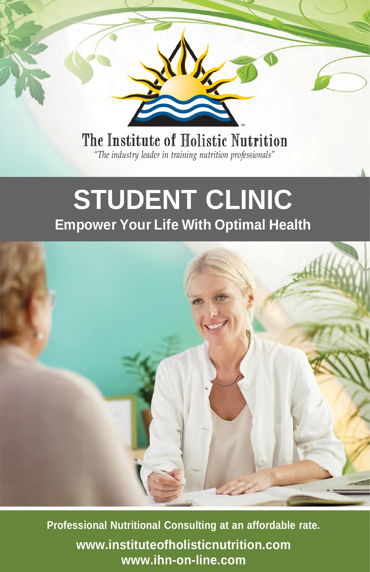

# **STUDENT CLINIC Empower Your Life With Optimal Health**



**Professional Nutritional Consulting at an affordable rate. [www.instituteofholisticnutrition.com](http://www.instituteofholisticnutrition.com/) [www.ihn-on-line.com](http://www.ihn-on-line.com/)**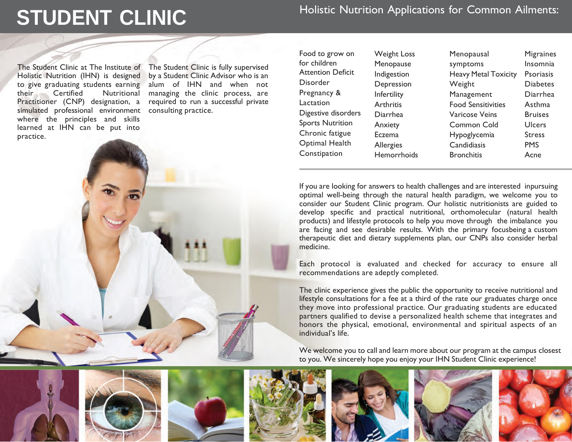# **STUDENT CLINIC** Holistic Nutrition Applications for Common Ailments:

The Student Clinic at The Institute of Holistic Nutrition (IHN) is designed to give graduating students earning their Certified Nutritional Practitioner (CNP) designation, a simulated professional environment where the principles and skills learned at IHN can be put into practice.

The Student Clinic is fully supervised by a Student Clinic Advisor who is an alum of IHN and when not managing the clinic process, are required to run a successful private consulting practice.

| Food to grow on          | <b>Weight Loss</b> |
|--------------------------|--------------------|
| for children             | Menopause          |
| <b>Attention Deficit</b> | Indigestion        |
| Disorder                 | Depression         |
| Pregnancy &              | Infertility        |
| Lactation                | Arthritis          |
| Digestive disorders      | Diarrhea           |
| <b>Sports Nutrition</b>  | Anxiety            |
| Chronic fatigue          | Eczema             |
| Optimal Health           | Allergies          |
| Constipation             | Hemorrhoids        |
|                          |                    |

Menopausal symptoms Heavy Metal Toxicity Weight Management Food Sensitivities Varicose Veins Common Cold Hypoglycemia **Candidiasis Bronchitis** 

**Migraines** Insomnia Psoriasis Diabetes Diarrhea Asthma Bruises Ulcers **Stress PMS** Acne

If you are looking for answers to health challenges and are interested inpursuing optimal well-being through the natural health paradigm, we welcome you to consider our Student Clinic program. Our holistic nutritionists are guided to develop specific and practical nutritional, orthomolecular (natural health products) and lifestyle protocols to help you move through the imbalance you are facing and see desirable results. With the primary focusbeing a custom therapeutic diet and dietary supplements plan, our CNPs also consider herbal medicine.

Each protocol is evaluated and checked for accuracy to ensure all recommendations are adeptly completed.

The clinic experience gives the public the opportunity to receive nutritional and lifestyle consultations for a fee at a third of the rate our graduates charge once they move into professional practice. Our graduating students are educated partners qualified to devise a personalized health scheme that integrates and honors the physical, emotional, environmental and spiritual aspects of an individual's life.

We welcome you to call and learn more about our program at the campus closest to you. We sincerely hope you enjoy your IHN Student Clinic experience!